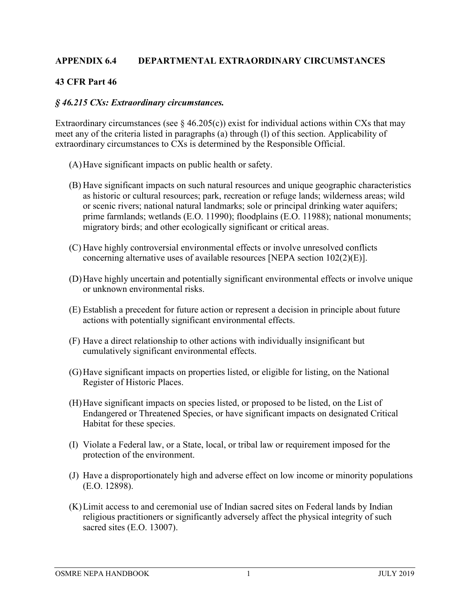## **APPENDIX 6.4 DEPARTMENTAL EXTRAORDINARY CIRCUMSTANCES**

## **43 CFR Part 46**

## *§ 46.215 CXs: Extraordinary circumstances.*

Extraordinary circumstances (see  $\S$  46.205(c)) exist for individual actions within CXs that may meet any of the criteria listed in paragraphs (a) through (l) of this section. Applicability of extraordinary circumstances to CXs is determined by the Responsible Official.

- (A)Have significant impacts on public health or safety.
- (B) Have significant impacts on such natural resources and unique geographic characteristics as historic or cultural resources; park, recreation or refuge lands; wilderness areas; wild or scenic rivers; national natural landmarks; sole or principal drinking water aquifers; prime farmlands; wetlands (E.O. 11990); floodplains (E.O. 11988); national monuments; migratory birds; and other ecologically significant or critical areas.
- (C) Have highly controversial environmental effects or involve unresolved conflicts concerning alternative uses of available resources [NEPA section 102(2)(E)].
- (D)Have highly uncertain and potentially significant environmental effects or involve unique or unknown environmental risks.
- (E) Establish a precedent for future action or represent a decision in principle about future actions with potentially significant environmental effects.
- (F) Have a direct relationship to other actions with individually insignificant but cumulatively significant environmental effects.
- (G)Have significant impacts on properties listed, or eligible for listing, on the National Register of Historic Places.
- (H)Have significant impacts on species listed, or proposed to be listed, on the List of Endangered or Threatened Species, or have significant impacts on designated Critical Habitat for these species.
- (I) Violate a Federal law, or a State, local, or tribal law or requirement imposed for the protection of the environment.
- (J) Have a disproportionately high and adverse effect on low income or minority populations (E.O. 12898).
- (K)Limit access to and ceremonial use of Indian sacred sites on Federal lands by Indian religious practitioners or significantly adversely affect the physical integrity of such sacred sites (E.O. 13007).